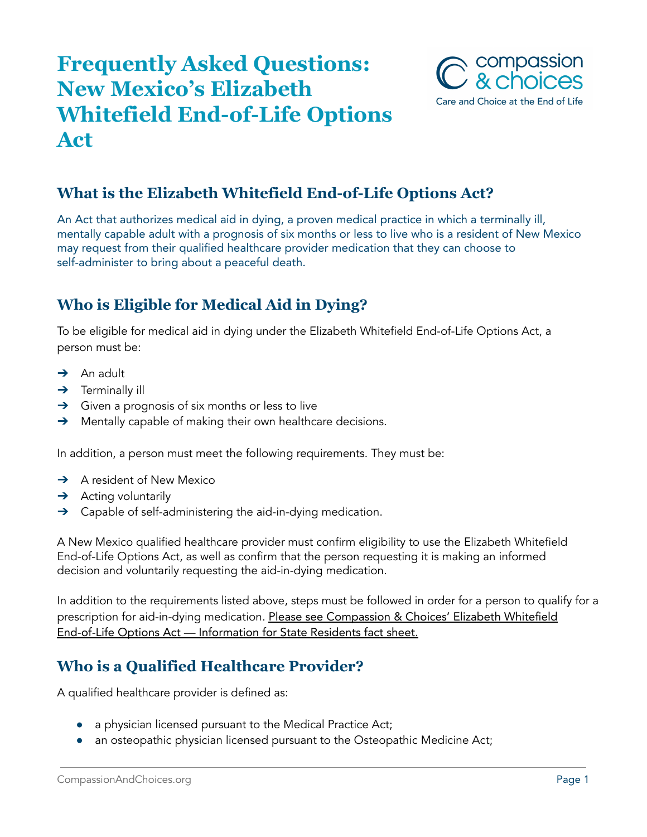# **Frequently Asked Questions: New Mexico's Elizabeth Whitefield End-of-Life Options Act**



# **What is the Elizabeth Whitefield End-of-Life Options Act?**

An Act that authorizes medical aid in dying, a proven medical practice in which a terminally ill, mentally capable adult with a prognosis of six months or less to live who is a resident of New Mexico may request from their qualified healthcare provider medication that they can choose to self-administer to bring about a peaceful death.

# **Who is Eligible for Medical Aid in Dying?**

To be eligible for medical aid in dying under the Elizabeth Whitefield End-of-Life Options Act, a person must be:

- $\rightarrow$  An adult
- $\rightarrow$  Terminally ill
- → Given a prognosis of six months or less to live
- → Mentally capable of making their own healthcare decisions.

In addition, a person must meet the following requirements. They must be:

- ➔ A resident of New Mexico
- $\rightarrow$  Acting voluntarily
- → Capable of self-administering the aid-in-dying medication.

A New Mexico qualified healthcare provider must confirm eligibility to use the Elizabeth Whitefield End-of-Life Options Act, as well as confirm that the person requesting it is making an informed decision and voluntarily requesting the aid-in-dying medication.

In addition to the requirements listed above, steps must be followed in order for a person to qualify for a prescription for aid-in-dying medication. Please see Compassion & Choices' Elizabeth Whitefield End-of-Life Options Act — Information for State Residents fact sheet.

#### **Who is a Qualified Healthcare Provider?**

A qualified healthcare provider is defined as:

- a physician licensed pursuant to the Medical Practice Act;
- an osteopathic physician licensed pursuant to the Osteopathic Medicine Act;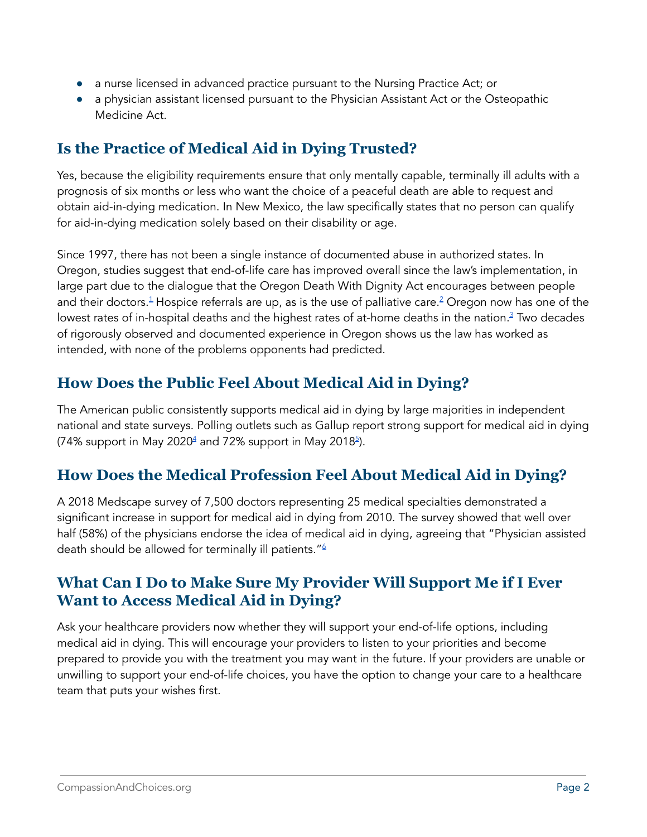- a nurse licensed in advanced practice pursuant to the Nursing Practice Act; or
- a physician assistant licensed pursuant to the Physician Assistant Act or the Osteopathic Medicine Act.

# **Is the Practice of Medical Aid in Dying Trusted?**

Yes, because the eligibility requirements ensure that only mentally capable, terminally ill adults with a prognosis of six months or less who want the choice of a peaceful death are able to request and obtain aid-in-dying medication. In New Mexico, the law specifically states that no person can qualify for aid-in-dying medication solely based on their disability or age.

Since 1997, there has not been a single instance of documented abuse in authorized states. In Oregon, studies suggest that end-of-life care has improved overall since the law's implementation, in large part due to the dialogue that the Oregon Death With Dignity Act encourages between people and their doctors.<sup>1</sup> Hospice referrals are up, as is the use of palliative care.<sup>2</sup> Oregon now has one of the lowest rates of in-hospital deaths and the highest rates of at-home deaths in the nation. <sup>3</sup> Two decades of rigorously observed and documented experience in Oregon shows us the law has worked as intended, with none of the problems opponents had predicted.

# **How Does the Public Feel About Medical Aid in Dying?**

The American public consistently supports medical aid in dying by large majorities in independent national and state surveys. Polling outlets such as Gallup report strong support for medical aid in dying (74% support in May 2020 $4$  and 72% support in May 2018 $^5$ ).

# **How Does the Medical Profession Feel About Medical Aid in Dying?**

A 2018 Medscape survey of 7,500 doctors representing 25 medical specialties demonstrated a significant increase in support for medical aid in dying from 2010. The survey showed that well over half (58%) of the physicians endorse the idea of medical aid in dying, agreeing that "Physician assisted death should be allowed for terminally ill patients." 6

### **What Can I Do to Make Sure My Provider Will Support Me if I Ever Want to Access Medical Aid in Dying?**

Ask your healthcare providers now whether they will support your end-of-life options, including medical aid in dying. This will encourage your providers to listen to your priorities and become prepared to provide you with the treatment you may want in the future. If your providers are unable or unwilling to support your end-of-life choices, you have the option to change your care to a healthcare team that puts your wishes first.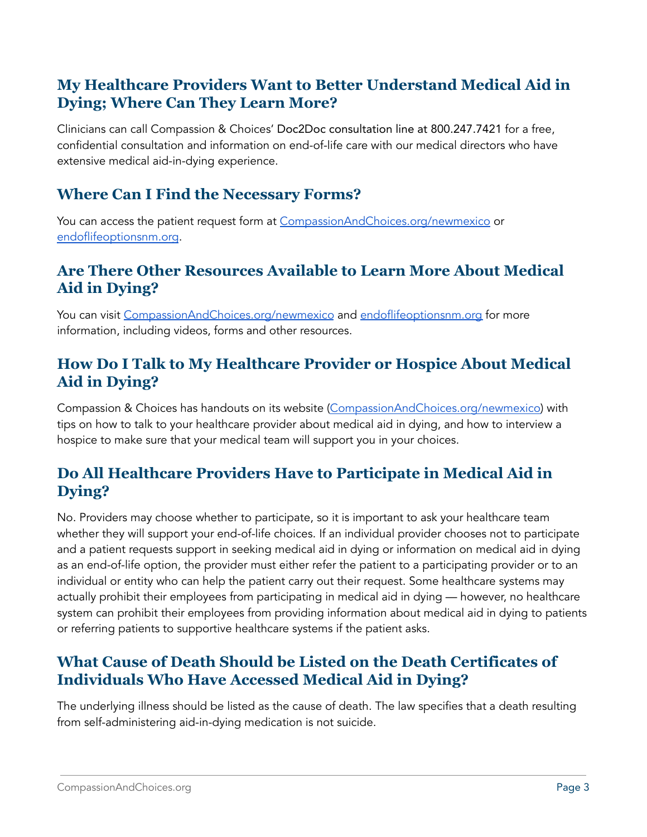### **My Healthcare Providers Want to Better Understand Medical Aid in Dying; Where Can They Learn More?**

Clinicians can call Compassion & Choices' Doc2Doc consultation line at 800.247.7421 for a free, confidential consultation and information on end-of-life care with our medical directors who have extensive medical aid-in-dying experience.

#### **Where Can I Find the Necessary Forms?**

You can access the patient request form at [CompassionAndChoices.org/newmexico](http://compassionandchoices.org/New-Mexico) or [endoflifeoptionsnm.org](https://endoflifeoptionsnm.org/).

#### **Are There Other Resources Available to Learn More About Medical Aid in Dying?**

You can visit [CompassionAndChoices.org/newmexico](http://compassionandchoices.org/New-Mexico) and [endoflifeoptionsnm.org](https://endoflifeoptionsnm.org/) for more information, including videos, forms and other resources.

#### **How Do I Talk to My Healthcare Provider or Hospice About Medical Aid in Dying?**

Compassion & Choices has handouts on its website [\(CompassionAndChoices.org/newmexico\)](http://compassionandchoices.org/New-Mexico) with tips on how to talk to your healthcare provider about medical aid in dying, and how to interview a hospice to make sure that your medical team will support you in your choices.

# **Do All Healthcare Providers Have to Participate in Medical Aid in Dying?**

No. Providers may choose whether to participate, so it is important to ask your healthcare team whether they will support your end-of-life choices. If an individual provider chooses not to participate and a patient requests support in seeking medical aid in dying or information on medical aid in dying as an end-of-life option, the provider must either refer the patient to a participating provider or to an individual or entity who can help the patient carry out their request. Some healthcare systems may actually prohibit their employees from participating in medical aid in dying — however, no healthcare system can prohibit their employees from providing information about medical aid in dying to patients or referring patients to supportive healthcare systems if the patient asks.

#### **What Cause of Death Should be Listed on the Death Certificates of Individuals Who Have Accessed Medical Aid in Dying?**

The underlying illness should be listed as the cause of death. The law specifies that a death resulting from self-administering aid-in-dying medication is not suicide.